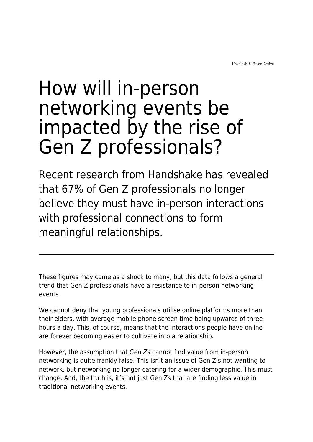Unsplash © Hivan Arvizu

# How will in-person networking events be impacted by the rise of Gen Z professionals?

Recent research from Handshake has revealed that 67% of Gen Z professionals no longer believe they must have in-person interactions with professional connections to form meaningful relationships.

These figures may come as a shock to many, but this data follows a general trend that Gen Z professionals have a resistance to in-person networking events.

We cannot deny that young professionals utilise online platforms more than their elders, with average mobile phone screen time being upwards of three hours a day. This, of course, means that the interactions people have online are forever becoming easier to cultivate into a relationship.

However, the assumption that [Gen Zs](https://www.maddyness.com/uk/2021/05/14/gen-z-launched-56000-new-companies-over-the-past-12-months/) cannot find value from in-person networking is quite frankly false. This isn't an issue of Gen Z's not wanting to network, but networking no longer catering for a wider demographic. This must change. And, the truth is, it's not just Gen Zs that are finding less value in traditional networking events.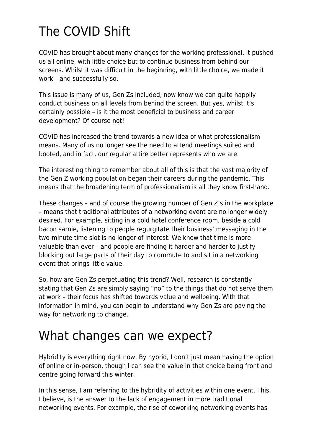## The COVID Shift

COVID has brought about many changes for the working professional. It pushed us all online, with little choice but to continue business from behind our screens. Whilst it was difficult in the beginning, with little choice, we made it work – and successfully so.

This issue is many of us, Gen Zs included, now know we can quite happily conduct business on all levels from behind the screen. But yes, whilst it's certainly possible – is it the most beneficial to business and career development? Of course not!

COVID has increased the trend towards a new idea of what professionalism means. Many of us no longer see the need to attend meetings suited and booted, and in fact, our regular attire better represents who we are.

The interesting thing to remember about all of this is that the vast majority of the Gen Z working population began their careers during the pandemic. This means that the broadening term of professionalism is all they know first-hand.

These changes – and of course the growing number of Gen Z's in the workplace – means that traditional attributes of a networking event are no longer widely desired. For example, sitting in a cold hotel conference room, beside a cold bacon sarnie, listening to people regurgitate their business' messaging in the two-minute time slot is no longer of interest. We know that time is more valuable than ever – and people are finding it harder and harder to justify blocking out large parts of their day to commute to and sit in a networking event that brings little value.

So, how are Gen Zs perpetuating this trend? Well, research is constantly stating that Gen Zs are simply saying "no" to the things that do not serve them at work – their focus has shifted towards value and wellbeing. With that information in mind, you can begin to understand why Gen Zs are paving the way for networking to change.

#### What changes can we expect?

Hybridity is everything right now. By hybrid, I don't just mean having the option of online or in-person, though I can see the value in that choice being front and centre going forward this winter.

In this sense, I am referring to the hybridity of activities within one event. This, I believe, is the answer to the lack of engagement in more traditional networking events. For example, the rise of coworking networking events has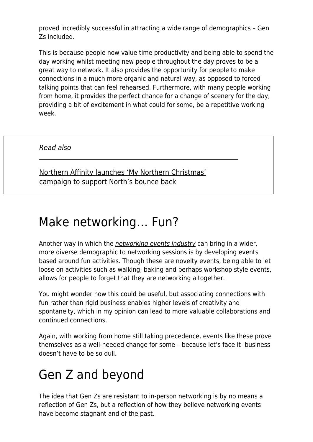proved incredibly successful in attracting a wide range of demographics – Gen Zs included.

This is because people now value time productivity and being able to spend the day working whilst meeting new people throughout the day proves to be a great way to network. It also provides the opportunity for people to make connections in a much more organic and natural way, as opposed to forced talking points that can feel rehearsed. Furthermore, with many people working from home, it provides the perfect chance for a change of scenery for the day, providing a bit of excitement in what could for some, be a repetitive working week.

Read also

[Northern Affinity launches 'My Northern Christmas'](https://www.maddyness.com/uk/2021/07/09/northern-affinity-launches-my-northern-christmas-campaign-to-support-norths-bounce-back/) [campaign to support North's bounce back](https://www.maddyness.com/uk/2021/07/09/northern-affinity-launches-my-northern-christmas-campaign-to-support-norths-bounce-back/)

#### Make networking… Fun?

Another way in which the *[networking events industry](https://www.maddyness.com/uk/2021/12/06/5-tips-for-planning-a-cancel-proof-and-flexible-work-christmas-party/)* can bring in a wider, more diverse demographic to networking sessions is by developing events based around fun activities. Though these are novelty events, being able to let loose on activities such as walking, baking and perhaps workshop style events, allows for people to forget that they are networking altogether.

You might wonder how this could be useful, but associating connections with fun rather than rigid business enables higher levels of creativity and spontaneity, which in my opinion can lead to more valuable collaborations and continued connections.

Again, with working from home still taking precedence, events like these prove themselves as a well-needed change for some – because let's face it- business doesn't have to be so dull.

### Gen Z and beyond

The idea that Gen Zs are resistant to in-person networking is by no means a reflection of Gen Zs, but a reflection of how they believe networking events have become stagnant and of the past.